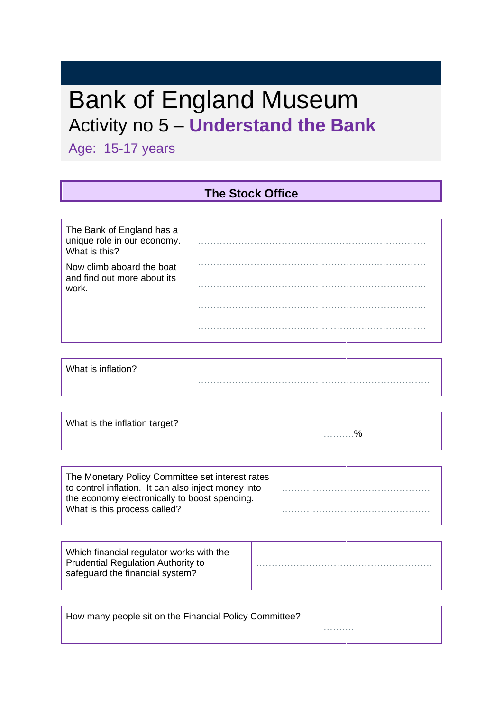# Bank of England Museum Activity no 5 – **Understand the Bank**

Age: 15-17 years

#### **The Stock Office**

| The Bank of England has a<br>unique role in our economy.<br>What is this? |  |
|---------------------------------------------------------------------------|--|
| Now climb aboard the boat<br>and find out more about its<br>work.         |  |
|                                                                           |  |
|                                                                           |  |

| What is inflation? |  |
|--------------------|--|
|                    |  |

| What is the inflation target? | . % |
|-------------------------------|-----|
|                               |     |

| The Monetary Policy Committee set interest rates<br>to control inflation. It can also inject money into<br>the economy electronically to boost spending. |  |
|----------------------------------------------------------------------------------------------------------------------------------------------------------|--|
| What is this process called?                                                                                                                             |  |

| Which financial regulator works with the<br><b>Prudential Regulation Authority to</b><br>safeguard the financial system? |  |
|--------------------------------------------------------------------------------------------------------------------------|--|
|--------------------------------------------------------------------------------------------------------------------------|--|

| How many people sit on the Financial Policy Committee? |  |
|--------------------------------------------------------|--|
|                                                        |  |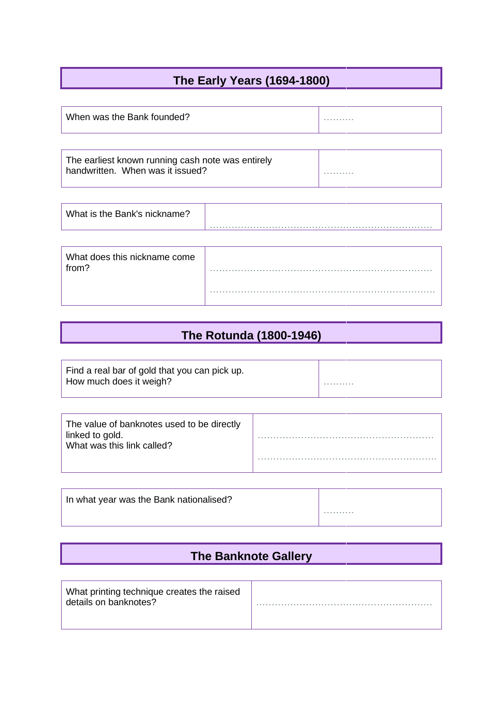#### **The Early Years (1694-1800)**

| When was the Bank founded? | . |
|----------------------------|---|
|                            |   |

| The earliest known running cash note was entirely |   |
|---------------------------------------------------|---|
| handwritten. When was it issued?                  | . |
|                                                   |   |

| What is the Bank's nickname? |  |
|------------------------------|--|
|------------------------------|--|

| What does this nickname come<br>from? |  |
|---------------------------------------|--|
|                                       |  |

### **The Rotunda (1800-1946)**

| Find a real bar of gold that you can pick up. |  |
|-----------------------------------------------|--|
| How much does it weigh?                       |  |

| In what year was the Bank nationalised? |   |
|-----------------------------------------|---|
|                                         | . |

#### **The Banknote Gallery**

| What printing technique creates the raised<br>details on banknotes? |  |
|---------------------------------------------------------------------|--|
|                                                                     |  |